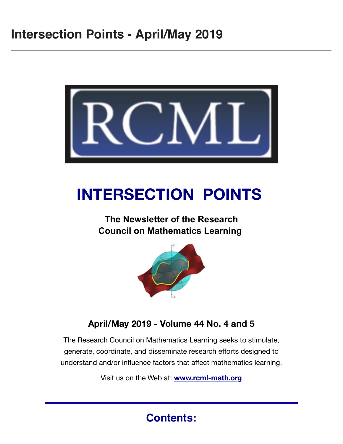

# **INTERSECTION POINTS**

### **The Newsletter of the Research Council on Mathematics Learning**



### **April/May 2019 - Volume 44 No. 4 and 5**

The Research Council on Mathematics Learning seeks to stimulate, generate, coordinate, and disseminate research efforts designed to understand and/or influence factors that affect mathematics learning.

Visit us on the Web at: **[www.rcml-math.org](https://rcml-math.us17.list-manage.com/track/click?u=862dd25d78268b9858c5fd964&id=2087a239d0&e=c083b408c9)**

### **Contents:**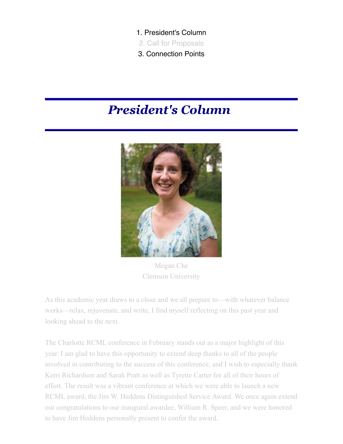- 1. President's Column
- 2. Call for Proposals
- 3. Connection Points

## *President's Column*



Megan Che Clemson University

As this academic year draws to a close and we all prepare to—with whatever balance works—relax, rejuvenate, and write, I find myself reflecting on this past year and looking ahead to the next.

The Charlotte RCML conference in February stands out as a major highlight of this year. I am glad to have this opportunity to extend deep thanks to all of the people involved in contributing to the success of this conference, and I wish to especially thank Kerri Richardson and Sarah Pratt as well as Tyrette Carter for all of their hours of effort. The result was a vibrant conference at which we were able to launch a new RCML award, the Jim W. Heddens Distinguished Service Award. We once again extend our congratulations to our inaugural awardee, William R. Speer, and we were honored to have Jim Heddens personally present to confer the award.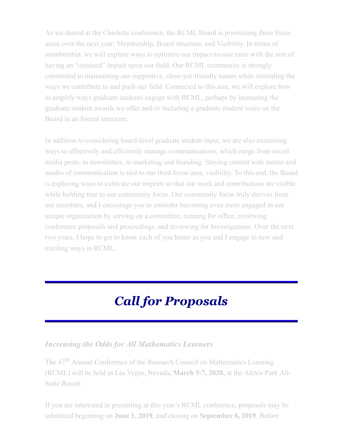As we shared at the Charlotte conference, the RCML Board is prioritizing three focus areas over the next year: Membership, Board structure, and Visibility. In terms of membership, we will explore ways to optimize our impact-to-size ratio with the aim of having an "outsized" impact upon our field. Our RCML community is strongly committed to maintaining our supportive, close-yet-friendly nature while extending the ways we contribute to and push our field. Connected to this aim, we will explore how to amplify ways graduate students engage with RCML, perhaps by increasing the graduate student awards we offer and/or including a graduate student voice on the Board in an formal structure.

In addition to considering board-level graduate student input, we are also examining ways to effectively and efficiently manage communications, which range from social media posts, to newsletters, to marketing and branding. Staying current with means and modes of communication is tied to our third focus area, visibility. To this end, the Board is exploring ways to cultivate our imprint so that our work and contributions are visible while holding true to our community focus. Our community focus truly derives from our members, and I encourage you to consider becoming even more engaged in our unique organization by serving on a committee, running for office, reviewing conference proposals and proceedings, and reviewing for Investigations. Over the next two years, I hope to get to know each of you better as you and I engage in new and exciting ways in RCML.

## *Call for Proposals*

#### *Increasing the Odds for All Mathematics Learners*

The 47<sup>th</sup> Annual Conference of the Research Council on Mathematics Learning (RCML) will be held in Las Vegas, Nevada**, March 5-7, 2020,** at the Alexis Park All-Suite Resort.

If you are interested in presenting at this year's RCML conference, proposals may be submitted beginning on **June 1, 2019**, and closing on **September 8, 2019**. Before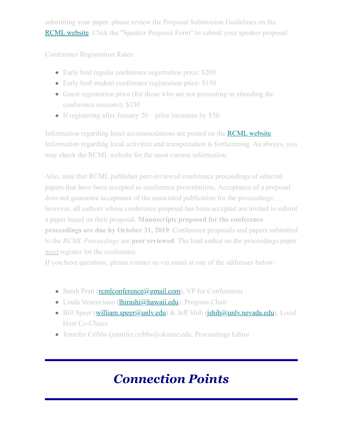submitting your paper, please review the Proposal Submission Guidelines on the **[RCML website](https://rcml-math.us17.list-manage.com/track/click?u=862dd25d78268b9858c5fd964&id=86f5b0caa5&e=c083b408c9).** Click the "Speaker Proposal Form" to submit your speaker proposal.

Conference Registration Rates:

- Early bird regular conference registration price: \$200
- Early bird student conference registration price: \$150
- Guest registration price (for those who are not presenting or attending the conference sessions): \$150
- If registering after January 20 price increases by \$50

Information regarding hotel accommodations are posted on the **RCML** website. Information regarding local activities and transportation is forthcoming. As always, you may check the RCML website for the most current information.

Also, note that RCML publishes peer-reviewed conference proceedings of selected papers that have been accepted as conference presentations. Acceptance of a proposal does not guarantee acceptance of the associated publication for the proceedings; however, all authors whose conference proposal has been accepted are invited to submit a paper based on their proposal. **Manuscripts proposed for the conference proceedings are due by October 31, 2019**. Conference proposals and papers submitted to the *RCML Proceedings* are **peer reviewed**. The lead author on the proceedings paper *must* register for the conference.

If you have questions, please contact us via email at one of the addresses below:

- Sarah Pratt (**remlconference**@gmail.com), VP for Conferences
- Linda Venenciano (*lhirashi@hawaii.edu*), Program Chair
- $\bullet$  Bill Speer (william.speer@unly.edu) & Jeff Shih (jshih@unly.nevada.edu), Local Host Co-Chairs
- Jennifer Cribbs (jennifer.cribbs@okstate.edu, Proceedings Editor

## *Connection Points*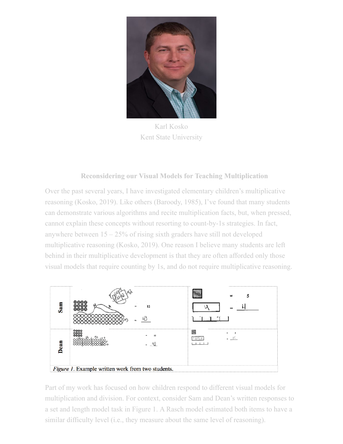

Karl Kosko Kent State University

#### **Reconsidering our Visual Models for Teaching Multiplication**

Over the past several years, I have investigated elementary children's multiplicative reasoning (Kosko, 2019). Like others (Baroody, 1985), I've found that many students can demonstrate various algorithms and recite multiplication facts, but, when pressed, cannot explain these concepts without resorting to count-by-1s strategies. In fact, anywhere between  $15 - 25\%$  of rising sixth graders have still not developed multiplicative reasoning (Kosko, 2019). One reason I believe many students are left behind in their multiplicative development is that they are often afforded only those visual models that require counting by 1s, and do not require multiplicative reasoning.



Part of my work has focused on how children respond to different visual models for multiplication and division. For context, consider Sam and Dean's written responses to a set and length model task in Figure 1. A Rasch model estimated both items to have a similar difficulty level (i.e., they measure about the same level of reasoning).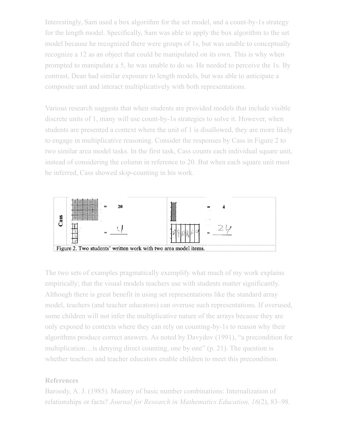Interestingly, Sam used a box algorithm for the set model, and a count-by-1s strategy for the length model. Specifically, Sam was able to apply the box algorithm to the set model because he recognized there were groups of 1s, but was unable to conceptually recognize a 12 as an object that could be manipulated on its own. This is why when prompted to manipulate a 5, he was unable to do so. He needed to perceive the 1s. By contrast, Dean had similar exposure to length models, but was able to anticipate a composite unit and interact multiplicatively with both representations.

Various research suggests that when students are provided models that include visible discrete units of 1, many will use count-by-1s strategies to solve it. However, when students are presented a context where the unit of 1 is disallowed, they are more likely to engage in multiplicative reasoning. Consider the responses by Cass in Figure 2 to two similar area model tasks. In the first task, Cass counts each individual square unit, instead of considering the column in reference to 20. But when each square unit must be inferred, Cass showed skip-counting in his work.



The two sets of examples pragmatically exemplify what much of my work explains empirically; that the visual models teachers use with students matter significantly. Although there is great benefit in using set representations like the standard array model, teachers (and teacher educators) can overuse such representations. If overused, some children will not infer the multiplicative nature of the arrays because they are only exposed to contexts where they can rely on counting-by-1s to reason why their algorithms produce correct answers. As noted by Davydov (1991), "a precondition for multiplication…is denying direct counting, one by one" (p. 21). The question is whether teachers and teacher educators enable children to meet this precondition.

#### **References**

Baroody, A. J. (1985). Mastery of basic number combinations: Internalization of relationships or facts? *Journal for Research in Mathematics Education, 16*(2), 83–98.